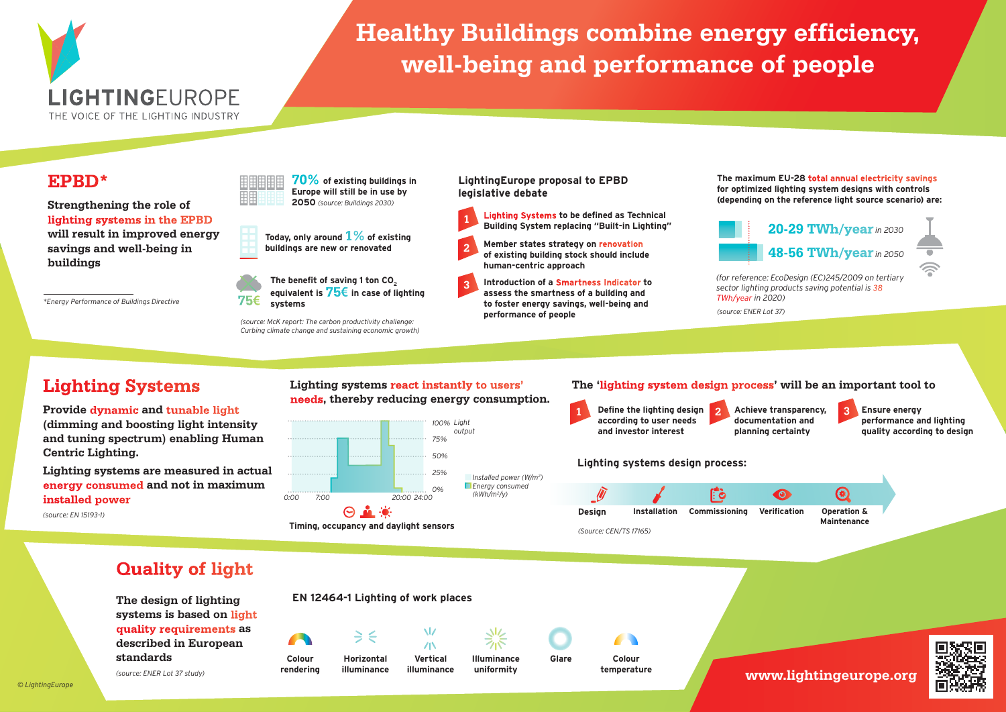

# **Healthy Buildings combine energy efficiency, well-being and performance of people**

### **EPBD\***

**Strengthening the role of lighting systems in the EPBD will result in improved energy savings and well-being in buildings**



**Today, only around 1% of existing buildings are new or renovated**



*(source: McK report: The carbon productivity challenge: Curbing climate change and sustaining economic growth)*

#### **LightingEurope proposal to EPBD legislative debate**

- **Lighting Systems to be defined as Technical Building System replacing "Built-in Lighting" 1**
- **Member states strategy on renovation of existing building stock should include human-centric approach 2**
	- **Introduction of a Smartness Indicator to assess the smartness of a building and to foster energy savings, well-being and performance of people**

**The maximum EU-28 total annual electricity savings for optimized lighting system designs with controls (depending on the reference light source scenario) are:** 



# **Lighting Systems**

#### **Provide dynamic and tunable light (dimming and boosting light intensity and tuning spectrum) enabling Human Centric Lighting.**

**Lighting systems are measured in actual energy consumed and not in maximum installed power**

*(source: EN 15193-1)*

#### **Lighting systems react instantly to users' needs, thereby reducing energy consumption.**

**3**



**Timing, occupancy and daylight sensors** 

#### **The 'lighting system design process' will be an important tool to**

*TWh/year in 2020) (source: ENER Lot 37)*

**12 Define the lighting design <b>12 Achieve transparency. 2 according to user needs and investor interest Achieve transparency, documentation and planning certainty Ensure energy performance and lighting quality according to design**

#### **Lighting systems design process:**



### **Quality of light**

**The design of lighting systems is based on light quality requirements as described in European standards** 

*(source: ENER Lot 37 study)*

## **EN 12464-1 Lighting of work places**

**illuminance**

**Colour rendering**



 $\Rightarrow$   $\leq$  $/ N$ **Horizontal Vertical** 

Ŵ

**illuminance Illuminance uniformity**

**Glare Colour temperature**

**www.lightingeurope.org**



*© LightingEurope*